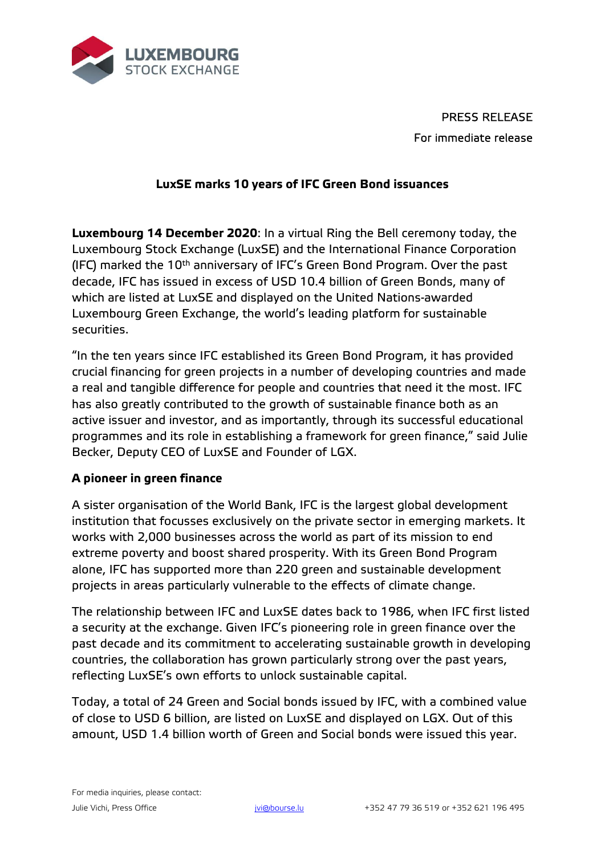

PRESS RELEASE For immediate release

## **LuxSE marks 10 years of IFC Green Bond issuances**

**Luxembourg 14 December 2020**: In a virtual Ring the Bell ceremony today, the Luxembourg Stock Exchange (LuxSE) and the International Finance Corporation (IFC) marked the 10<sup>th</sup> anniversary of IFC's Green Bond Program. Over the past decade, IFC has issued in excess of USD 10.4 billion of Green Bonds, many of which are listed at LuxSE and displayed on the United Nations-awarded Luxembourg Green Exchange, the world's leading platform for sustainable securities.

"In the ten years since IFC established its Green Bond Program, it has provided crucial financing for green projects in a number of developing countries and made a real and tangible difference for people and countries that need it the most. IFC has also greatly contributed to the growth of sustainable finance both as an active issuer and investor, and as importantly, through its successful educational programmes and its role in establishing a framework for green finance," said Julie Becker, Deputy CEO of LuxSE and Founder of LGX.

## **A pioneer in green finance**

A sister organisation of the World Bank, IFC is the largest global development institution that focusses exclusively on the private sector in emerging markets. It works with 2,000 businesses across the world as part of its mission to end extreme poverty and boost shared prosperity. With its Green Bond Program alone, IFC has supported more than 220 green and sustainable development projects in areas particularly vulnerable to the effects of climate change.

The relationship between IFC and LuxSE dates back to 1986, when IFC first listed a security at the exchange. Given IFC's pioneering role in green finance over the past decade and its commitment to accelerating sustainable growth in developing countries, the collaboration has grown particularly strong over the past years, reflecting LuxSE's own efforts to unlock sustainable capital.

Today, a total of 24 Green and Social bonds issued by IFC, with a combined value of close to USD 6 billion, are listed on LuxSE and displayed on LGX. Out of this amount, USD 1.4 billion worth of Green and Social bonds were issued this year.